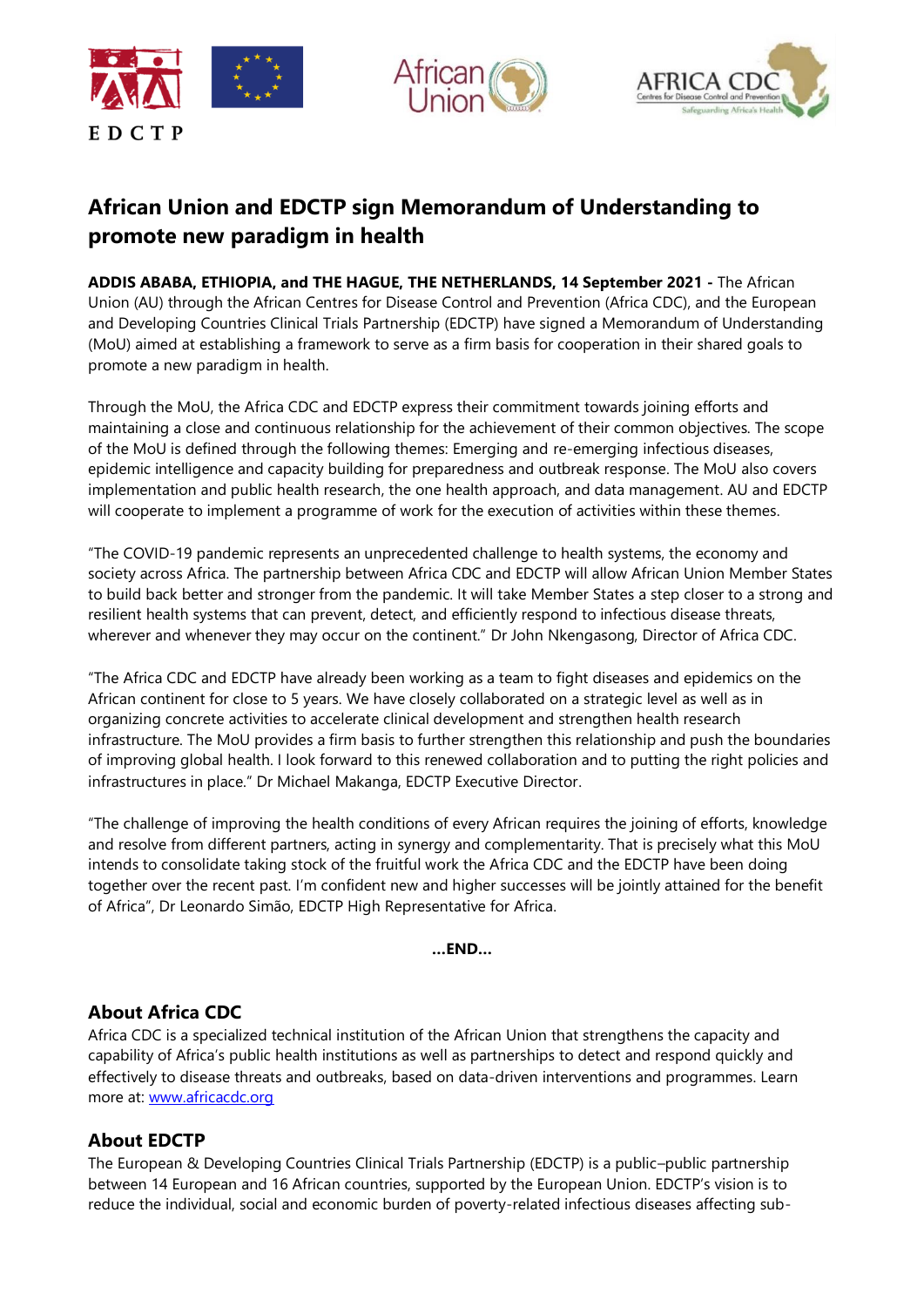





# **African Union and EDCTP sign Memorandum of Understanding to promote new paradigm in health**

**ADDIS ABABA, ETHIOPIA, and THE HAGUE, THE NETHERLANDS, 14 September 2021 -** The African Union (AU) through the African Centres for Disease Control and Prevention (Africa CDC), and the European and Developing Countries Clinical Trials Partnership (EDCTP) have signed a Memorandum of Understanding (MoU) aimed at establishing a framework to serve as a firm basis for cooperation in their shared goals to promote a new paradigm in health.

Through the MoU, the Africa CDC and EDCTP express their commitment towards joining efforts and maintaining a close and continuous relationship for the achievement of their common objectives. The scope of the MoU is defined through the following themes: Emerging and re-emerging infectious diseases, epidemic intelligence and capacity building for preparedness and outbreak response. The MoU also covers implementation and public health research, the one health approach, and data management. AU and EDCTP will cooperate to implement a programme of work for the execution of activities within these themes.

"The COVID‐19 pandemic represents an unprecedented challenge to health systems, the economy and society across Africa. The partnership between Africa CDC and EDCTP will allow African Union Member States to build back better and stronger from the pandemic. It will take Member States a step closer to a strong and resilient health systems that can prevent, detect, and efficiently respond to infectious disease threats, wherever and whenever they may occur on the continent." Dr John Nkengasong, Director of Africa CDC.

"The Africa CDC and EDCTP have already been working as a team to fight diseases and epidemics on the African continent for close to 5 years. We have closely collaborated on a strategic level as well as in organizing concrete activities to accelerate clinical development and strengthen health research infrastructure. The MoU provides a firm basis to further strengthen this relationship and push the boundaries of improving global health. I look forward to this renewed collaboration and to putting the right policies and infrastructures in place." Dr Michael Makanga, EDCTP Executive Director.

"The challenge of improving the health conditions of every African requires the joining of efforts, knowledge and resolve from different partners, acting in synergy and complementarity. That is precisely what this MoU intends to consolidate taking stock of the fruitful work the Africa CDC and the EDCTP have been doing together over the recent past. I'm confident new and higher successes will be jointly attained for the benefit of Africa", Dr Leonardo Simão, EDCTP High Representative for Africa.

**…END…**

### **About Africa CDC**

Africa CDC is a specialized technical institution of the African Union that strengthens the capacity and capability of Africa's public health institutions as well as partnerships to detect and respond quickly and effectively to disease threats and outbreaks, based on data-driven interventions and programmes. Learn more at: [www.africacdc.org](http://www.africacdc.org/) 

## **About EDCTP**

The European & Developing Countries Clinical Trials Partnership (EDCTP) is a public–public partnership between 14 European and 16 African countries, supported by the European Union. EDCTP's vision is to reduce the individual, social and economic burden of poverty-related infectious diseases affecting sub